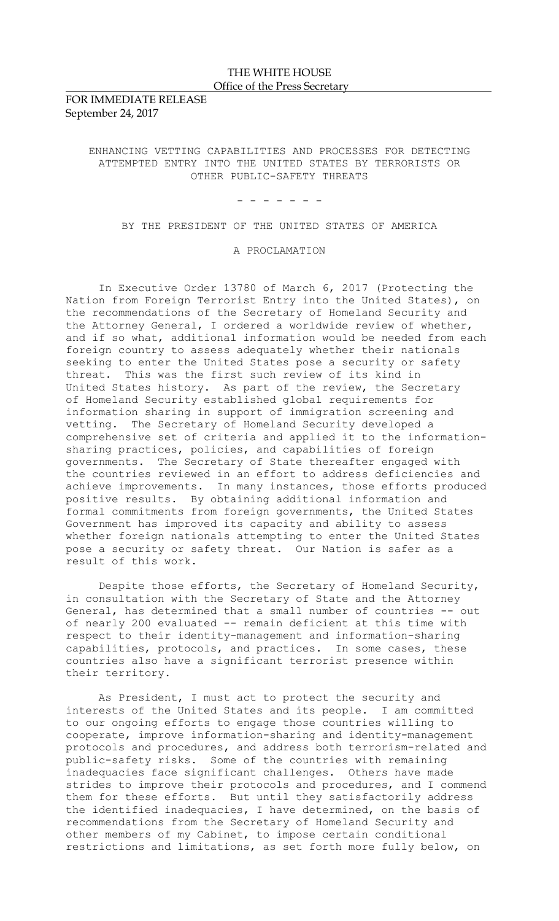## THE WHITE HOUSE Office of the Press Secretary

FOR IMMEDIATE RELEASE September 24, 2017

> ENHANCING VETTING CAPABILITIES AND PROCESSES FOR DETECTING ATTEMPTED ENTRY INTO THE UNITED STATES BY TERRORISTS OR OTHER PUBLIC-SAFETY THREATS

> > - - - - - - -

BY THE PRESIDENT OF THE UNITED STATES OF AMERICA

A PROCLAMATION

In Executive Order 13780 of March 6, 2017 (Protecting the Nation from Foreign Terrorist Entry into the United States), on the recommendations of the Secretary of Homeland Security and the Attorney General, I ordered a worldwide review of whether, and if so what, additional information would be needed from each foreign country to assess adequately whether their nationals seeking to enter the United States pose a security or safety threat. This was the first such review of its kind in United States history. As part of the review, the Secretary of Homeland Security established global requirements for information sharing in support of immigration screening and vetting. The Secretary of Homeland Security developed a comprehensive set of criteria and applied it to the informationsharing practices, policies, and capabilities of foreign governments. The Secretary of State thereafter engaged with the countries reviewed in an effort to address deficiencies and achieve improvements. In many instances, those efforts produced positive results. By obtaining additional information and formal commitments from foreign governments, the United States Government has improved its capacity and ability to assess whether foreign nationals attempting to enter the United States pose a security or safety threat. Our Nation is safer as a result of this work.

Despite those efforts, the Secretary of Homeland Security, in consultation with the Secretary of State and the Attorney General, has determined that a small number of countries -- out of nearly 200 evaluated -- remain deficient at this time with respect to their identity-management and information-sharing capabilities, protocols, and practices. In some cases, these countries also have a significant terrorist presence within their territory.

As President, I must act to protect the security and interests of the United States and its people. I am committed to our ongoing efforts to engage those countries willing to cooperate, improve information-sharing and identity-management protocols and procedures, and address both terrorism-related and public-safety risks. Some of the countries with remaining inadequacies face significant challenges. Others have made strides to improve their protocols and procedures, and I commend them for these efforts. But until they satisfactorily address the identified inadequacies, I have determined, on the basis of recommendations from the Secretary of Homeland Security and other members of my Cabinet, to impose certain conditional restrictions and limitations, as set forth more fully below, on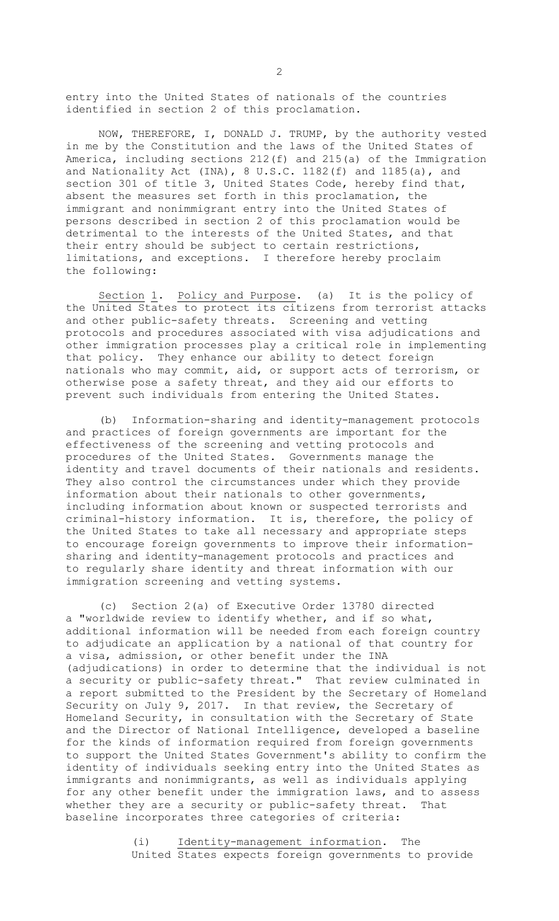entry into the United States of nationals of the countries identified in section 2 of this proclamation.

NOW, THEREFORE, I, DONALD J. TRUMP, by the authority vested in me by the Constitution and the laws of the United States of America, including sections 212(f) and 215(a) of the Immigration and Nationality Act (INA), 8 U.S.C. 1182(f) and 1185(a), and section 301 of title 3, United States Code, hereby find that, absent the measures set forth in this proclamation, the immigrant and nonimmigrant entry into the United States of persons described in section 2 of this proclamation would be detrimental to the interests of the United States, and that their entry should be subject to certain restrictions, limitations, and exceptions. I therefore hereby proclaim the following:

Section 1. Policy and Purpose. (a) It is the policy of the United States to protect its citizens from terrorist attacks and other public-safety threats. Screening and vetting protocols and procedures associated with visa adjudications and other immigration processes play a critical role in implementing that policy. They enhance our ability to detect foreign nationals who may commit, aid, or support acts of terrorism, or otherwise pose a safety threat, and they aid our efforts to prevent such individuals from entering the United States.

(b) Information-sharing and identity-management protocols and practices of foreign governments are important for the effectiveness of the screening and vetting protocols and procedures of the United States. Governments manage the identity and travel documents of their nationals and residents. They also control the circumstances under which they provide information about their nationals to other governments, including information about known or suspected terrorists and criminal-history information. It is, therefore, the policy of the United States to take all necessary and appropriate steps to encourage foreign governments to improve their informationsharing and identity-management protocols and practices and to regularly share identity and threat information with our immigration screening and vetting systems.

(c) Section 2(a) of Executive Order 13780 directed a "worldwide review to identify whether, and if so what, additional information will be needed from each foreign country to adjudicate an application by a national of that country for a visa, admission, or other benefit under the INA (adjudications) in order to determine that the individual is not a security or public-safety threat." That review culminated in a report submitted to the President by the Secretary of Homeland Security on July 9, 2017. In that review, the Secretary of Homeland Security, in consultation with the Secretary of State and the Director of National Intelligence, developed a baseline for the kinds of information required from foreign governments to support the United States Government's ability to confirm the identity of individuals seeking entry into the United States as immigrants and nonimmigrants, as well as individuals applying for any other benefit under the immigration laws, and to assess whether they are a security or public-safety threat. That baseline incorporates three categories of criteria:

> (i) Identity-management information. The United States expects foreign governments to provide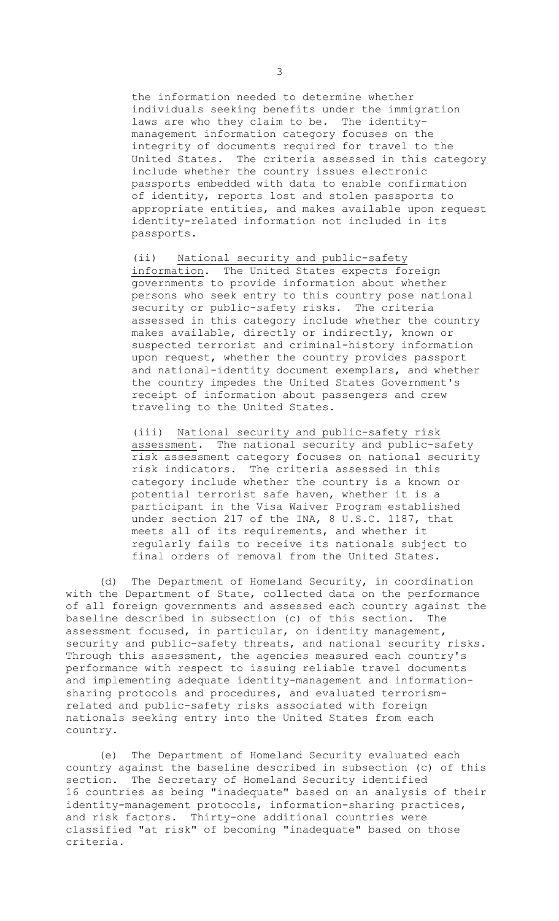the information needed to determine whether individuals seeking benefits under the immigration laws are who they claim to be. The identitymanagement information category focuses on the integrity of documents required for travel to the United States. The criteria assessed in this category include whether the country issues electronic passports embedded with data to enable confirmation of identity, reports lost and stolen passports to appropriate entities, and makes available upon request identity-related information not included in its passports.

(ii) National security and public-safety information. The United States expects foreign governments to provide information about whether persons who seek entry to this country pose national security or public-safety risks. The criteria assessed in this category include whether the country makes available, directly or indirectly, known or suspected terrorist and criminal-history information upon request, whether the country provides passport and national-identity document exemplars, and whether the country impedes the United States Government's receipt of information about passengers and crew traveling to the United States.

(iii) National security and public-safety risk assessment. The national security and public-safety risk assessment category focuses on national security risk indicators. The criteria assessed in this category include whether the country is a known or potential terrorist safe haven, whether it is a participant in the Visa Waiver Program established under section 217 of the INA, 8 U.S.C. 1187, that meets all of its requirements, and whether it regularly fails to receive its nationals subject to final orders of removal from the United States.

(d) The Department of Homeland Security, in coordination with the Department of State, collected data on the performance of all foreign governments and assessed each country against the baseline described in subsection (c) of this section. The assessment focused, in particular, on identity management, security and public-safety threats, and national security risks. Through this assessment, the agencies measured each country's performance with respect to issuing reliable travel documents and implementing adequate identity-management and informationsharing protocols and procedures, and evaluated terrorismrelated and public-safety risks associated with foreign nationals seeking entry into the United States from each country.

(e) The Department of Homeland Security evaluated each country against the baseline described in subsection (c) of this section. The Secretary of Homeland Security identified 16 countries as being "inadequate" based on an analysis of their identity-management protocols, information-sharing practices, and risk factors. Thirty-one additional countries were classified "at risk" of becoming "inadequate" based on those criteria.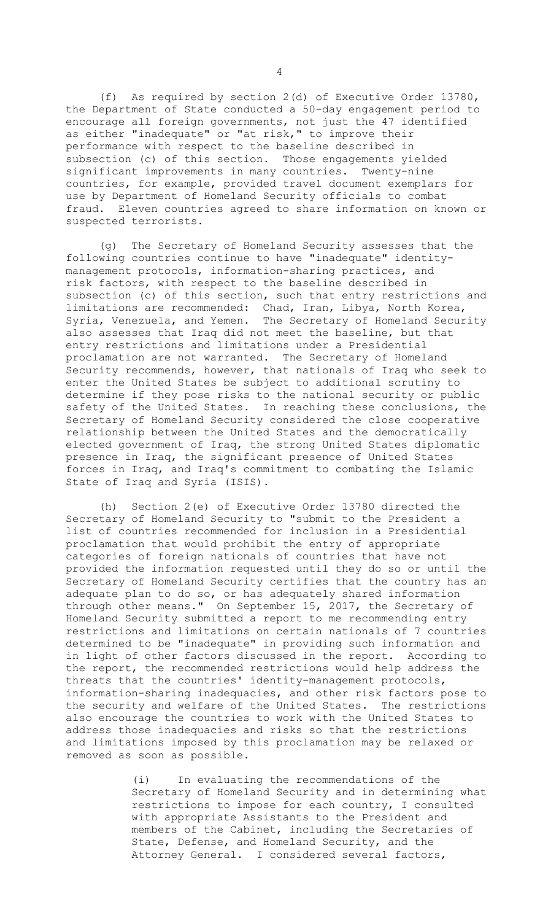(f) As required by section 2(d) of Executive Order 13780, the Department of State conducted a 50-day engagement period to encourage all foreign governments, not just the 47 identified as either "inadequate" or "at risk," to improve their performance with respect to the baseline described in subsection (c) of this section. Those engagements yielded significant improvements in many countries. Twenty-nine countries, for example, provided travel document exemplars for use by Department of Homeland Security officials to combat fraud. Eleven countries agreed to share information on known or suspected terrorists.

(g) The Secretary of Homeland Security assesses that the following countries continue to have "inadequate" identitymanagement protocols, information-sharing practices, and risk factors, with respect to the baseline described in subsection (c) of this section, such that entry restrictions and limitations are recommended: Chad, Iran, Libya, North Korea, Syria, Venezuela, and Yemen. The Secretary of Homeland Security also assesses that Iraq did not meet the baseline, but that entry restrictions and limitations under a Presidential proclamation are not warranted. The Secretary of Homeland Security recommends, however, that nationals of Iraq who seek to enter the United States be subject to additional scrutiny to determine if they pose risks to the national security or public safety of the United States. In reaching these conclusions, the Secretary of Homeland Security considered the close cooperative relationship between the United States and the democratically elected government of Iraq, the strong United States diplomatic presence in Iraq, the significant presence of United States forces in Iraq, and Iraq's commitment to combating the Islamic State of Iraq and Syria (ISIS).

(h) Section 2(e) of Executive Order 13780 directed the Secretary of Homeland Security to "submit to the President a list of countries recommended for inclusion in a Presidential proclamation that would prohibit the entry of appropriate categories of foreign nationals of countries that have not provided the information requested until they do so or until the Secretary of Homeland Security certifies that the country has an adequate plan to do so, or has adequately shared information through other means." On September 15, 2017, the Secretary of Homeland Security submitted a report to me recommending entry restrictions and limitations on certain nationals of 7 countries determined to be "inadequate" in providing such information and in light of other factors discussed in the report. According to the report, the recommended restrictions would help address the threats that the countries' identity-management protocols, information-sharing inadequacies, and other risk factors pose to the security and welfare of the United States. The restrictions also encourage the countries to work with the United States to address those inadequacies and risks so that the restrictions and limitations imposed by this proclamation may be relaxed or removed as soon as possible.

> (i) In evaluating the recommendations of the Secretary of Homeland Security and in determining what restrictions to impose for each country, I consulted with appropriate Assistants to the President and members of the Cabinet, including the Secretaries of State, Defense, and Homeland Security, and the Attorney General. I considered several factors,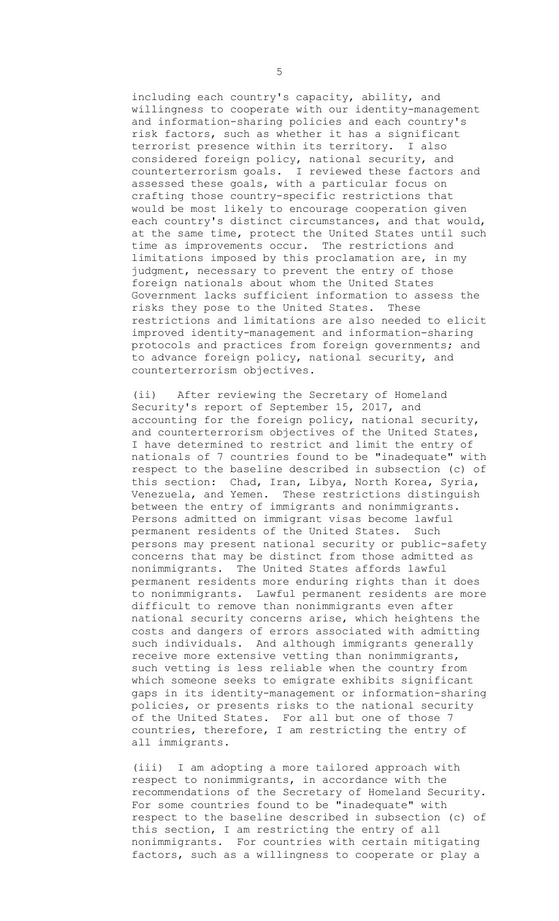including each country's capacity, ability, and willingness to cooperate with our identity-management and information-sharing policies and each country's risk factors, such as whether it has a significant terrorist presence within its territory. I also considered foreign policy, national security, and counterterrorism goals. I reviewed these factors and assessed these goals, with a particular focus on crafting those country-specific restrictions that would be most likely to encourage cooperation given each country's distinct circumstances, and that would, at the same time, protect the United States until such time as improvements occur. The restrictions and limitations imposed by this proclamation are, in my judgment, necessary to prevent the entry of those foreign nationals about whom the United States Government lacks sufficient information to assess the risks they pose to the United States. These restrictions and limitations are also needed to elicit improved identity-management and information-sharing protocols and practices from foreign governments; and to advance foreign policy, national security, and counterterrorism objectives.

(ii) After reviewing the Secretary of Homeland Security's report of September 15, 2017, and accounting for the foreign policy, national security, and counterterrorism objectives of the United States, I have determined to restrict and limit the entry of nationals of 7 countries found to be "inadequate" with respect to the baseline described in subsection (c) of this section: Chad, Iran, Libya, North Korea, Syria, Venezuela, and Yemen. These restrictions distinguish between the entry of immigrants and nonimmigrants. Persons admitted on immigrant visas become lawful permanent residents of the United States. Such persons may present national security or public-safety concerns that may be distinct from those admitted as nonimmigrants. The United States affords lawful permanent residents more enduring rights than it does to nonimmigrants. Lawful permanent residents are more difficult to remove than nonimmigrants even after national security concerns arise, which heightens the costs and dangers of errors associated with admitting such individuals. And although immigrants generally receive more extensive vetting than nonimmigrants, such vetting is less reliable when the country from which someone seeks to emigrate exhibits significant gaps in its identity-management or information-sharing policies, or presents risks to the national security of the United States. For all but one of those 7 countries, therefore, I am restricting the entry of all immigrants.

(iii) I am adopting a more tailored approach with respect to nonimmigrants, in accordance with the recommendations of the Secretary of Homeland Security. For some countries found to be "inadequate" with respect to the baseline described in subsection (c) of this section, I am restricting the entry of all nonimmigrants. For countries with certain mitigating factors, such as a willingness to cooperate or play a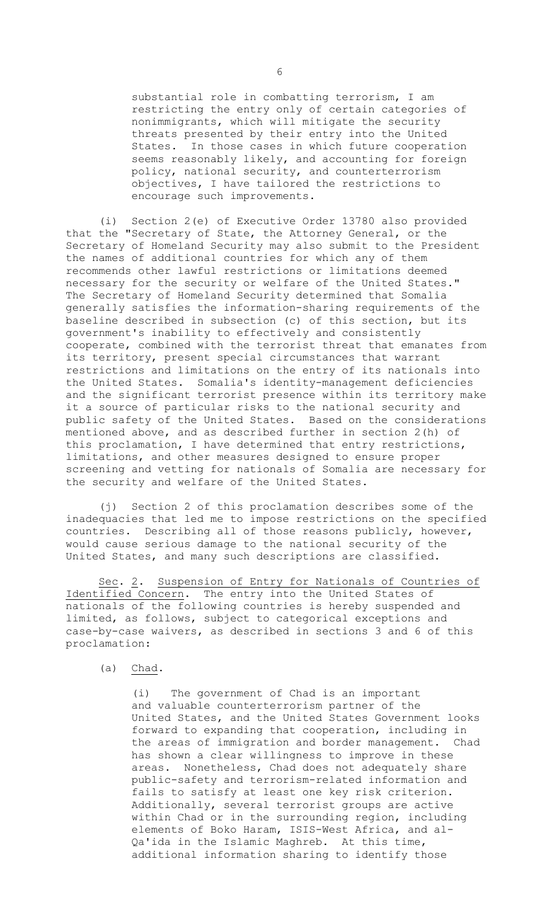substantial role in combatting terrorism, I am restricting the entry only of certain categories of nonimmigrants, which will mitigate the security threats presented by their entry into the United States. In those cases in which future cooperation seems reasonably likely, and accounting for foreign policy, national security, and counterterrorism objectives, I have tailored the restrictions to encourage such improvements.

(i) Section 2(e) of Executive Order 13780 also provided that the "Secretary of State, the Attorney General, or the Secretary of Homeland Security may also submit to the President the names of additional countries for which any of them recommends other lawful restrictions or limitations deemed necessary for the security or welfare of the United States." The Secretary of Homeland Security determined that Somalia generally satisfies the information-sharing requirements of the baseline described in subsection (c) of this section, but its government's inability to effectively and consistently cooperate, combined with the terrorist threat that emanates from its territory, present special circumstances that warrant restrictions and limitations on the entry of its nationals into the United States. Somalia's identity-management deficiencies and the significant terrorist presence within its territory make it a source of particular risks to the national security and public safety of the United States. Based on the considerations mentioned above, and as described further in section 2(h) of this proclamation, I have determined that entry restrictions, limitations, and other measures designed to ensure proper screening and vetting for nationals of Somalia are necessary for the security and welfare of the United States.

(j) Section 2 of this proclamation describes some of the inadequacies that led me to impose restrictions on the specified countries. Describing all of those reasons publicly, however, would cause serious damage to the national security of the United States, and many such descriptions are classified.

Sec. 2. Suspension of Entry for Nationals of Countries of Identified Concern.The entry into the United States of nationals of the following countries is hereby suspended and limited, as follows, subject to categorical exceptions and case-by-case waivers, as described in sections 3 and 6 of this proclamation:

(a) Chad.

(i) The government of Chad is an important and valuable counterterrorism partner of the United States, and the United States Government looks forward to expanding that cooperation, including in the areas of immigration and border management. Chad has shown a clear willingness to improve in these areas. Nonetheless, Chad does not adequately share public-safety and terrorism-related information and fails to satisfy at least one key risk criterion. Additionally, several terrorist groups are active within Chad or in the surrounding region, including elements of Boko Haram, ISIS-West Africa, and al-Qa'ida in the Islamic Maghreb. At this time, additional information sharing to identify those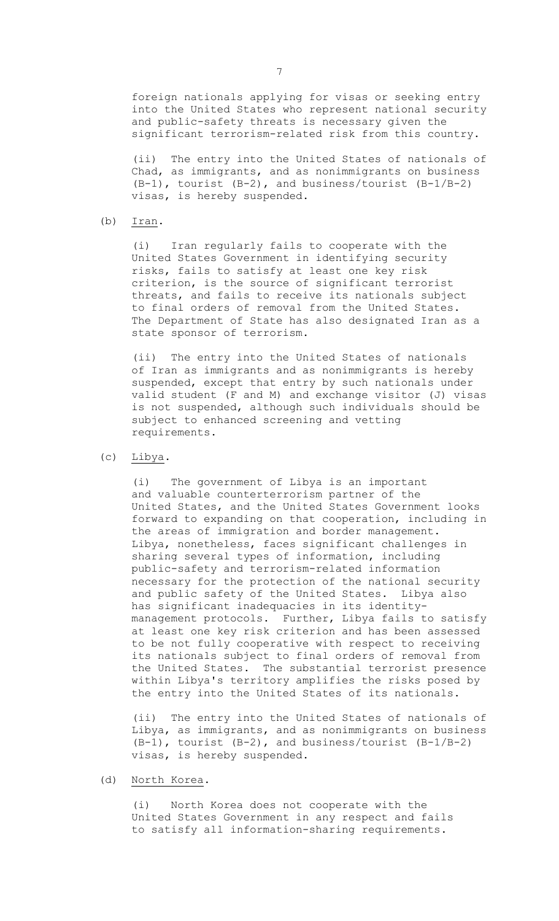foreign nationals applying for visas or seeking entry into the United States who represent national security and public-safety threats is necessary given the significant terrorism-related risk from this country.

(ii) The entry into the United States of nationals of Chad, as immigrants, and as nonimmigrants on business (B-1), tourist (B-2), and business/tourist (B-1/B-2) visas, is hereby suspended.

(b) Iran.

(i) Iran regularly fails to cooperate with the United States Government in identifying security risks, fails to satisfy at least one key risk criterion, is the source of significant terrorist threats, and fails to receive its nationals subject to final orders of removal from the United States. The Department of State has also designated Iran as a state sponsor of terrorism.

(ii) The entry into the United States of nationals of Iran as immigrants and as nonimmigrants is hereby suspended, except that entry by such nationals under valid student (F and M) and exchange visitor (J) visas is not suspended, although such individuals should be subject to enhanced screening and vetting requirements.

(c) Libya.

(i) The government of Libya is an important and valuable counterterrorism partner of the United States, and the United States Government looks forward to expanding on that cooperation, including in the areas of immigration and border management. Libya, nonetheless, faces significant challenges in sharing several types of information, including public-safety and terrorism-related information necessary for the protection of the national security and public safety of the United States. Libya also has significant inadequacies in its identitymanagement protocols. Further, Libya fails to satisfy at least one key risk criterion and has been assessed to be not fully cooperative with respect to receiving its nationals subject to final orders of removal from the United States. The substantial terrorist presence within Libya's territory amplifies the risks posed by the entry into the United States of its nationals.

(ii) The entry into the United States of nationals of Libya, as immigrants, and as nonimmigrants on business (B-1), tourist (B-2), and business/tourist (B-1/B-2) visas, is hereby suspended.

## (d) North Korea.

(i) North Korea does not cooperate with the United States Government in any respect and fails to satisfy all information-sharing requirements.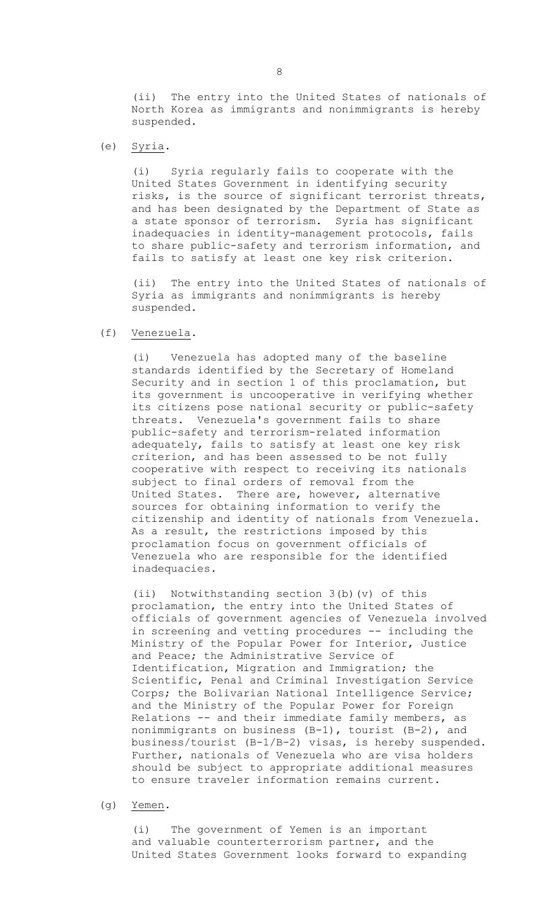(ii) The entry into the United States of nationals of North Korea as immigrants and nonimmigrants is hereby suspended.

(e) Syria.

(i) Syria regularly fails to cooperate with the United States Government in identifying security risks, is the source of significant terrorist threats, and has been designated by the Department of State as a state sponsor of terrorism. Syria has significant inadequacies in identity-management protocols, fails to share public-safety and terrorism information, and fails to satisfy at least one key risk criterion.

(ii) The entry into the United States of nationals of Syria as immigrants and nonimmigrants is hereby suspended.

## (f) Venezuela.

(i) Venezuela has adopted many of the baseline standards identified by the Secretary of Homeland Security and in section 1 of this proclamation, but its government is uncooperative in verifying whether its citizens pose national security or public-safety threats. Venezuela's government fails to share public-safety and terrorism-related information adequately, fails to satisfy at least one key risk criterion, and has been assessed to be not fully cooperative with respect to receiving its nationals subject to final orders of removal from the United States. There are, however, alternative sources for obtaining information to verify the citizenship and identity of nationals from Venezuela. As a result, the restrictions imposed by this proclamation focus on government officials of Venezuela who are responsible for the identified inadequacies.

(ii) Notwithstanding section 3(b)(v) of this proclamation, the entry into the United States of officials of government agencies of Venezuela involved in screening and vetting procedures -- including the Ministry of the Popular Power for Interior, Justice and Peace; the Administrative Service of Identification, Migration and Immigration; the Scientific, Penal and Criminal Investigation Service Corps; the Bolivarian National Intelligence Service; and the Ministry of the Popular Power for Foreign Relations -- and their immediate family members, as nonimmigrants on business (B-1), tourist (B-2), and business/tourist (B-1/B-2) visas, is hereby suspended. Further, nationals of Venezuela who are visa holders should be subject to appropriate additional measures to ensure traveler information remains current.

## (g) Yemen.

(i) The government of Yemen is an important and valuable counterterrorism partner, and the United States Government looks forward to expanding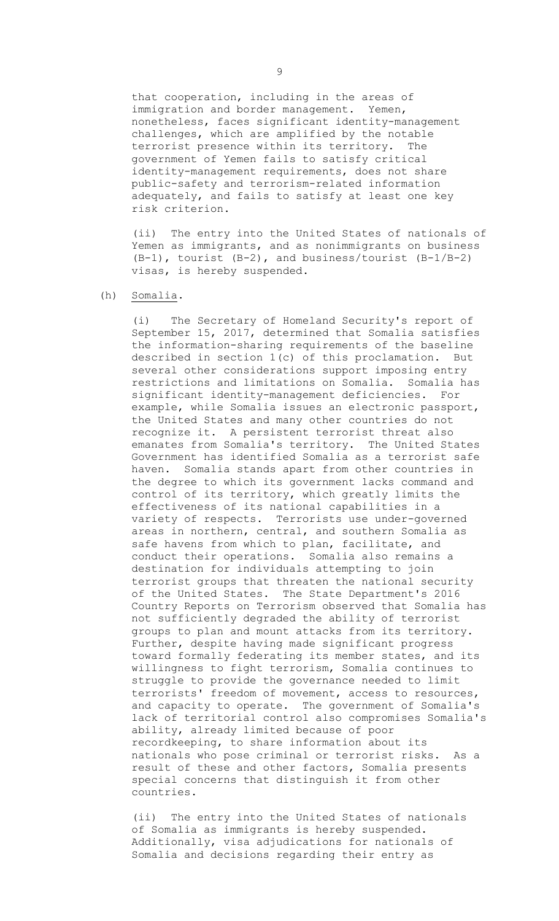that cooperation, including in the areas of immigration and border management. Yemen, nonetheless, faces significant identity-management challenges, which are amplified by the notable terrorist presence within its territory. The government of Yemen fails to satisfy critical identity-management requirements, does not share public-safety and terrorism-related information adequately, and fails to satisfy at least one key risk criterion.

(ii) The entry into the United States of nationals of Yemen as immigrants, and as nonimmigrants on business (B-1), tourist (B-2), and business/tourist (B-1/B-2) visas, is hereby suspended.

(h) Somalia.

(i) The Secretary of Homeland Security's report of September 15, 2017, determined that Somalia satisfies the information-sharing requirements of the baseline described in section 1(c) of this proclamation. But several other considerations support imposing entry restrictions and limitations on Somalia. Somalia has significant identity-management deficiencies. For example, while Somalia issues an electronic passport, the United States and many other countries do not recognize it. A persistent terrorist threat also emanates from Somalia's territory. The United States Government has identified Somalia as a terrorist safe haven. Somalia stands apart from other countries in the degree to which its government lacks command and control of its territory, which greatly limits the effectiveness of its national capabilities in a variety of respects. Terrorists use under-governed areas in northern, central, and southern Somalia as safe havens from which to plan, facilitate, and conduct their operations. Somalia also remains a destination for individuals attempting to join terrorist groups that threaten the national security of the United States. The State Department's 2016 Country Reports on Terrorism observed that Somalia has not sufficiently degraded the ability of terrorist groups to plan and mount attacks from its territory. Further, despite having made significant progress toward formally federating its member states, and its willingness to fight terrorism, Somalia continues to struggle to provide the governance needed to limit terrorists' freedom of movement, access to resources, and capacity to operate. The government of Somalia's lack of territorial control also compromises Somalia's ability, already limited because of poor recordkeeping, to share information about its nationals who pose criminal or terrorist risks. As a result of these and other factors, Somalia presents special concerns that distinguish it from other countries.

(ii) The entry into the United States of nationals of Somalia as immigrants is hereby suspended. Additionally, visa adjudications for nationals of Somalia and decisions regarding their entry as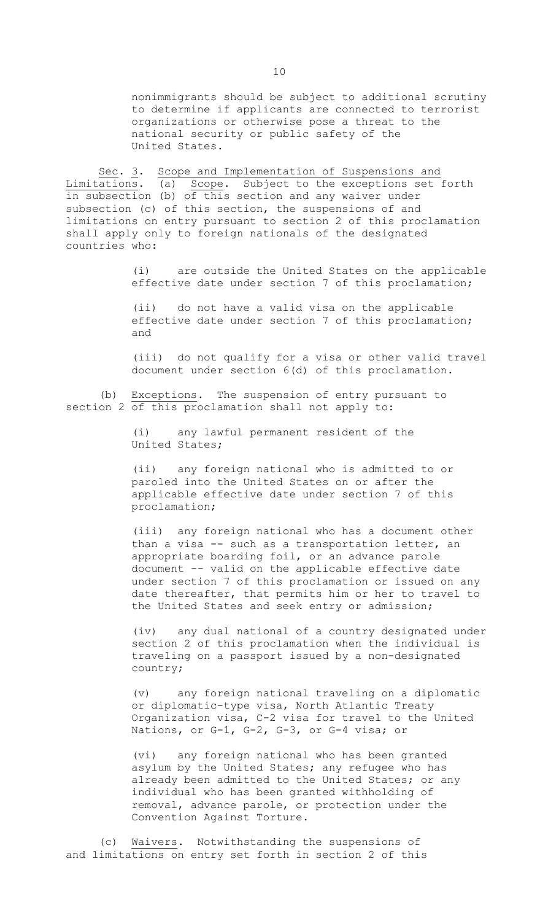nonimmigrants should be subject to additional scrutiny to determine if applicants are connected to terrorist organizations or otherwise pose a threat to the national security or public safety of the United States.

Sec. 3. Scope and Implementation of Suspensions and Limitations. (a) Scope. Subject to the exceptions set forth in subsection (b) of this section and any waiver under subsection (c) of this section, the suspensions of and limitations on entry pursuant to section 2 of this proclamation shall apply only to foreign nationals of the designated countries who:

> (i) are outside the United States on the applicable effective date under section 7 of this proclamation;

(ii) do not have a valid visa on the applicable effective date under section 7 of this proclamation; and

(iii) do not qualify for a visa or other valid travel document under section 6(d) of this proclamation.

(b) Exceptions. The suspension of entry pursuant to section 2 of this proclamation shall not apply to:

> (i) any lawful permanent resident of the United States;

(ii) any foreign national who is admitted to or paroled into the United States on or after the applicable effective date under section 7 of this proclamation;

(iii) any foreign national who has a document other than a visa -- such as a transportation letter, an appropriate boarding foil, or an advance parole document -- valid on the applicable effective date under section 7 of this proclamation or issued on any date thereafter, that permits him or her to travel to the United States and seek entry or admission;

(iv) any dual national of a country designated under section 2 of this proclamation when the individual is traveling on a passport issued by a non-designated country;

(v) any foreign national traveling on a diplomatic or diplomatic-type visa, North Atlantic Treaty Organization visa, C-2 visa for travel to the United Nations, or G-1, G-2, G-3, or G-4 visa; or

(vi) any foreign national who has been granted asylum by the United States; any refugee who has already been admitted to the United States; or any individual who has been granted withholding of removal, advance parole, or protection under the Convention Against Torture.

(c) Waivers. Notwithstanding the suspensions of and limitations on entry set forth in section 2 of this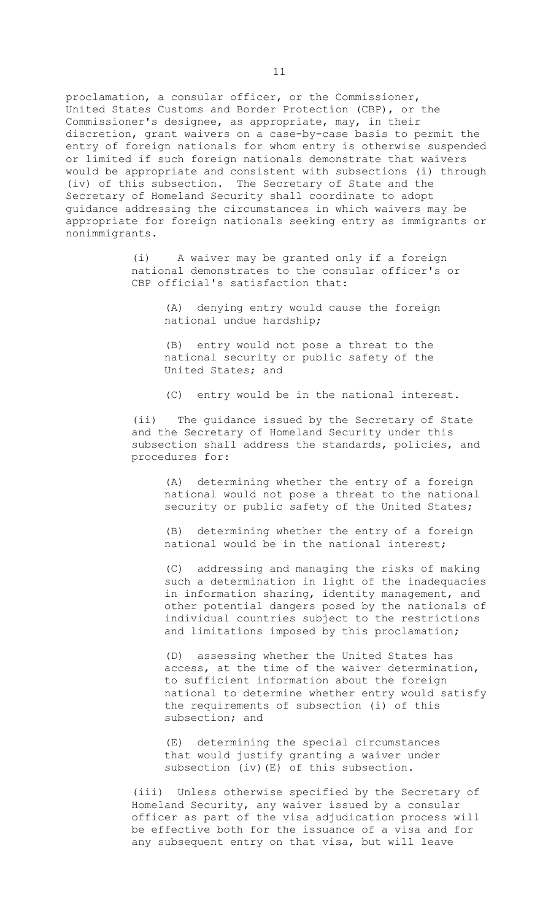proclamation, a consular officer, or the Commissioner, United States Customs and Border Protection (CBP), or the Commissioner's designee, as appropriate, may, in their discretion, grant waivers on a case-by-case basis to permit the entry of foreign nationals for whom entry is otherwise suspended or limited if such foreign nationals demonstrate that waivers would be appropriate and consistent with subsections (i) through (iv) of this subsection. The Secretary of State and the Secretary of Homeland Security shall coordinate to adopt guidance addressing the circumstances in which waivers may be appropriate for foreign nationals seeking entry as immigrants or nonimmigrants.

> (i) A waiver may be granted only if a foreign national demonstrates to the consular officer's or CBP official's satisfaction that:

(A) denying entry would cause the foreign national undue hardship;

(B) entry would not pose a threat to the national security or public safety of the United States; and

(C) entry would be in the national interest.

(ii) The guidance issued by the Secretary of State and the Secretary of Homeland Security under this subsection shall address the standards, policies, and procedures for:

(A) determining whether the entry of a foreign national would not pose a threat to the national security or public safety of the United States;

(B) determining whether the entry of a foreign national would be in the national interest;

(C) addressing and managing the risks of making such a determination in light of the inadequacies in information sharing, identity management, and other potential dangers posed by the nationals of individual countries subject to the restrictions and limitations imposed by this proclamation;

(D) assessing whether the United States has access, at the time of the waiver determination, to sufficient information about the foreign national to determine whether entry would satisfy the requirements of subsection (i) of this subsection; and

(E) determining the special circumstances that would justify granting a waiver under subsection (iv)(E) of this subsection.

(iii) Unless otherwise specified by the Secretary of Homeland Security, any waiver issued by a consular officer as part of the visa adjudication process will be effective both for the issuance of a visa and for any subsequent entry on that visa, but will leave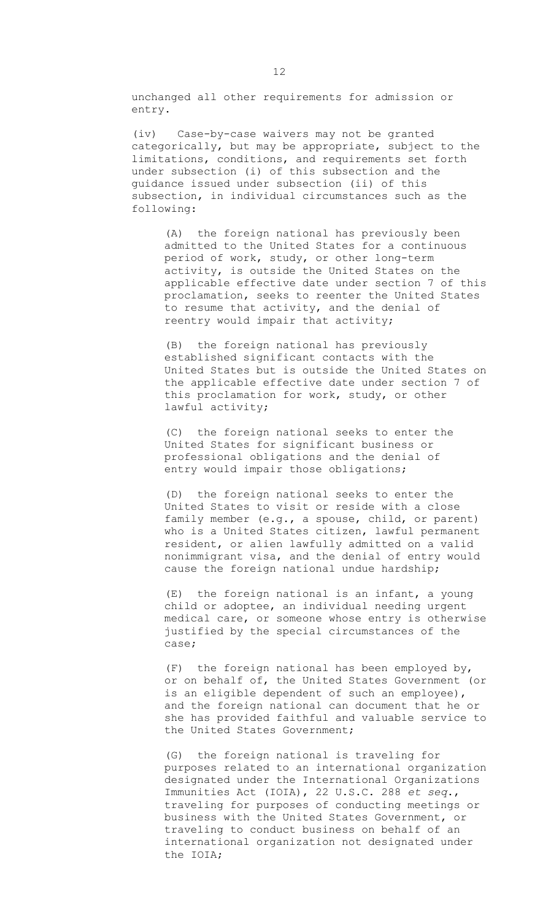unchanged all other requirements for admission or entry.

(iv) Case-by-case waivers may not be granted categorically, but may be appropriate, subject to the limitations, conditions, and requirements set forth under subsection (i) of this subsection and the guidance issued under subsection (ii) of this subsection, in individual circumstances such as the following:

(A) the foreign national has previously been admitted to the United States for a continuous period of work, study, or other long-term activity, is outside the United States on the applicable effective date under section 7 of this proclamation, seeks to reenter the United States to resume that activity, and the denial of reentry would impair that activity;

(B) the foreign national has previously established significant contacts with the United States but is outside the United States on the applicable effective date under section 7 of this proclamation for work, study, or other lawful activity;

(C) the foreign national seeks to enter the United States for significant business or professional obligations and the denial of entry would impair those obligations;

(D) the foreign national seeks to enter the United States to visit or reside with a close family member (e.g., a spouse, child, or parent) who is a United States citizen, lawful permanent resident, or alien lawfully admitted on a valid nonimmigrant visa, and the denial of entry would cause the foreign national undue hardship;

(E) the foreign national is an infant, a young child or adoptee, an individual needing urgent medical care, or someone whose entry is otherwise justified by the special circumstances of the case;

(F) the foreign national has been employed by, or on behalf of, the United States Government (or is an eligible dependent of such an employee), and the foreign national can document that he or she has provided faithful and valuable service to the United States Government;

(G) the foreign national is traveling for purposes related to an international organization designated under the International Organizations Immunities Act (IOIA), 22 U.S.C. 288 *et seq*., traveling for purposes of conducting meetings or business with the United States Government, or traveling to conduct business on behalf of an international organization not designated under the IOIA;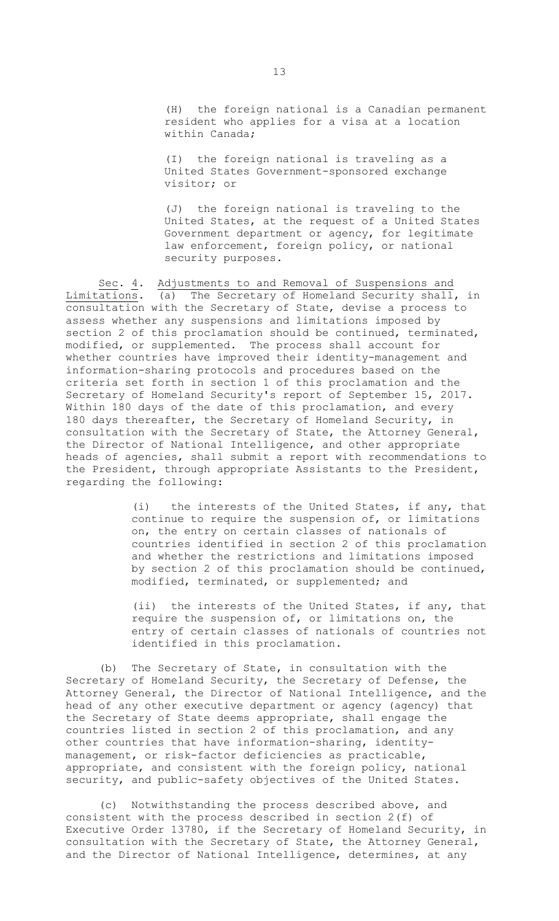(H) the foreign national is a Canadian permanent resident who applies for a visa at a location within Canada;

(I) the foreign national is traveling as a United States Government-sponsored exchange visitor; or

(J) the foreign national is traveling to the United States, at the request of a United States Government department or agency, for legitimate law enforcement, foreign policy, or national security purposes.

Sec. 4. Adjustments to and Removal of Suspensions and Limitations. (a) The Secretary of Homeland Security shall, in consultation with the Secretary of State, devise a process to assess whether any suspensions and limitations imposed by section 2 of this proclamation should be continued, terminated, modified, or supplemented. The process shall account for whether countries have improved their identity-management and information-sharing protocols and procedures based on the criteria set forth in section 1 of this proclamation and the Secretary of Homeland Security's report of September 15, 2017. Within 180 days of the date of this proclamation, and every 180 days thereafter, the Secretary of Homeland Security, in consultation with the Secretary of State, the Attorney General, the Director of National Intelligence, and other appropriate heads of agencies, shall submit a report with recommendations to the President, through appropriate Assistants to the President, regarding the following:

> (i) the interests of the United States, if any, that continue to require the suspension of, or limitations on, the entry on certain classes of nationals of countries identified in section 2 of this proclamation and whether the restrictions and limitations imposed by section 2 of this proclamation should be continued, modified, terminated, or supplemented; and

> (ii) the interests of the United States, if any, that require the suspension of, or limitations on, the entry of certain classes of nationals of countries not identified in this proclamation.

(b) The Secretary of State, in consultation with the Secretary of Homeland Security, the Secretary of Defense, the Attorney General, the Director of National Intelligence, and the head of any other executive department or agency (agency) that the Secretary of State deems appropriate, shall engage the countries listed in section 2 of this proclamation, and any other countries that have information-sharing, identitymanagement, or risk-factor deficiencies as practicable, appropriate, and consistent with the foreign policy, national security, and public-safety objectives of the United States.

(c) Notwithstanding the process described above, and consistent with the process described in section 2(f) of Executive Order 13780, if the Secretary of Homeland Security, in consultation with the Secretary of State, the Attorney General, and the Director of National Intelligence, determines, at any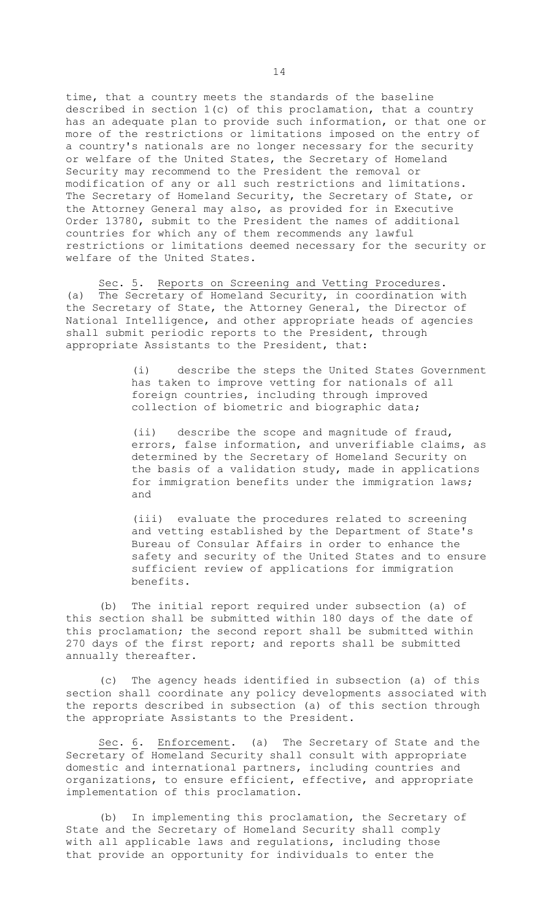time, that a country meets the standards of the baseline described in section 1(c) of this proclamation, that a country has an adequate plan to provide such information, or that one or more of the restrictions or limitations imposed on the entry of a country's nationals are no longer necessary for the security or welfare of the United States, the Secretary of Homeland Security may recommend to the President the removal or modification of any or all such restrictions and limitations. The Secretary of Homeland Security, the Secretary of State, or the Attorney General may also, as provided for in Executive Order 13780, submit to the President the names of additional countries for which any of them recommends any lawful restrictions or limitations deemed necessary for the security or welfare of the United States.

Sec. 5. Reports on Screening and Vetting Procedures. (a) The Secretary of Homeland Security, in coordination with the Secretary of State, the Attorney General, the Director of National Intelligence, and other appropriate heads of agencies shall submit periodic reports to the President, through appropriate Assistants to the President, that:

> (i) describe the steps the United States Government has taken to improve vetting for nationals of all foreign countries, including through improved collection of biometric and biographic data;

> (ii) describe the scope and magnitude of fraud, errors, false information, and unverifiable claims, as determined by the Secretary of Homeland Security on the basis of a validation study, made in applications for immigration benefits under the immigration laws; and

> (iii) evaluate the procedures related to screening and vetting established by the Department of State's Bureau of Consular Affairs in order to enhance the safety and security of the United States and to ensure sufficient review of applications for immigration benefits.

(b) The initial report required under subsection (a) of this section shall be submitted within 180 days of the date of this proclamation; the second report shall be submitted within 270 days of the first report; and reports shall be submitted annually thereafter.

(c) The agency heads identified in subsection (a) of this section shall coordinate any policy developments associated with the reports described in subsection (a) of this section through the appropriate Assistants to the President.

Sec. 6. Enforcement. (a) The Secretary of State and the Secretary of Homeland Security shall consult with appropriate domestic and international partners, including countries and organizations, to ensure efficient, effective, and appropriate implementation of this proclamation.

(b) In implementing this proclamation, the Secretary of State and the Secretary of Homeland Security shall comply with all applicable laws and regulations, including those that provide an opportunity for individuals to enter the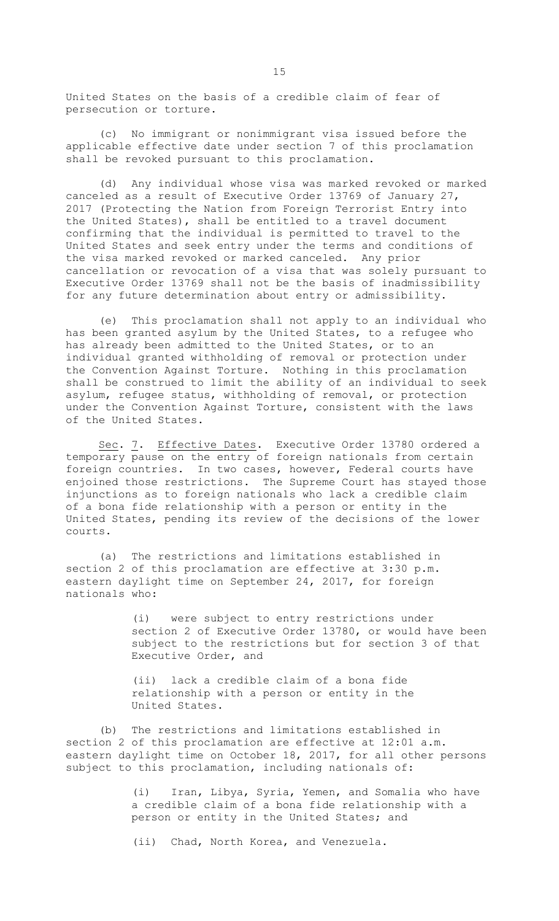United States on the basis of a credible claim of fear of persecution or torture.

(c) No immigrant or nonimmigrant visa issued before the applicable effective date under section 7 of this proclamation shall be revoked pursuant to this proclamation.

(d) Any individual whose visa was marked revoked or marked canceled as a result of Executive Order 13769 of January 27, 2017 (Protecting the Nation from Foreign Terrorist Entry into the United States), shall be entitled to a travel document confirming that the individual is permitted to travel to the United States and seek entry under the terms and conditions of the visa marked revoked or marked canceled. Any prior cancellation or revocation of a visa that was solely pursuant to Executive Order 13769 shall not be the basis of inadmissibility for any future determination about entry or admissibility.

(e) This proclamation shall not apply to an individual who has been granted asylum by the United States, to a refugee who has already been admitted to the United States, or to an individual granted withholding of removal or protection under the Convention Against Torture. Nothing in this proclamation shall be construed to limit the ability of an individual to seek asylum, refugee status, withholding of removal, or protection under the Convention Against Torture, consistent with the laws of the United States.

Sec. 7. Effective Dates. Executive Order 13780 ordered a temporary pause on the entry of foreign nationals from certain foreign countries. In two cases, however, Federal courts have enjoined those restrictions. The Supreme Court has stayed those injunctions as to foreign nationals who lack a credible claim of a bona fide relationship with a person or entity in the United States, pending its review of the decisions of the lower courts.

(a) The restrictions and limitations established in section 2 of this proclamation are effective at 3:30 p.m. eastern daylight time on September 24, 2017, for foreign nationals who:

> (i) were subject to entry restrictions under section 2 of Executive Order 13780, or would have been subject to the restrictions but for section 3 of that Executive Order, and

(ii) lack a credible claim of a bona fide relationship with a person or entity in the United States.

(b) The restrictions and limitations established in section 2 of this proclamation are effective at 12:01 a.m. eastern daylight time on October 18, 2017, for all other persons subject to this proclamation, including nationals of:

> (i) Iran, Libya, Syria, Yemen, and Somalia who have a credible claim of a bona fide relationship with a person or entity in the United States; and

(ii) Chad, North Korea, and Venezuela.